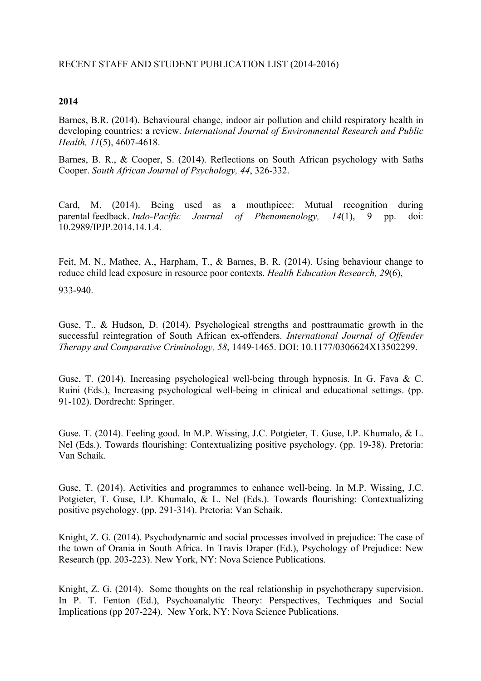## **2014**

Barnes, B.R. (2014). Behavioural change, indoor air pollution and child respiratory health in developing countries: a review. *International Journal of Environmental Research and Public Health, 11*(5), 4607-4618.

Barnes, B. R., & Cooper, S. (2014). Reflections on South African psychology with Saths Cooper. *South African Journal of Psychology, 44*, 326-332.

Card, M. (2014). Being used as a mouthpiece: Mutual recognition during parental feedback. *Indo-Pacific Journal of Phenomenology, 14*(1), 9 pp. doi: 10.2989/IPJP.2014.14.1.4.

Feit, M. N., Mathee, A., Harpham, T., & Barnes, B. R. (2014). Using behaviour change to reduce child lead exposure in resource poor contexts. *Health Education Research, 29*(6),

933-940.

Guse, T., & Hudson, D. (2014). Psychological strengths and posttraumatic growth in the successful reintegration of South African ex-offenders. *International Journal of Offender Therapy and Comparative Criminology, 58*, 1449-1465. DOI: 10.1177/0306624X13502299.

Guse, T. (2014). Increasing psychological well-being through hypnosis. In G. Fava & C. Ruini (Eds.), Increasing psychological well-being in clinical and educational settings. (pp. 91-102). Dordrecht: Springer.

Guse. T. (2014). Feeling good. In M.P. Wissing, J.C. Potgieter, T. Guse, I.P. Khumalo, & L. Nel (Eds.). Towards flourishing: Contextualizing positive psychology. (pp. 19-38). Pretoria: Van Schaik.

Guse, T. (2014). Activities and programmes to enhance well-being. In M.P. Wissing, J.C. Potgieter, T. Guse, I.P. Khumalo, & L. Nel (Eds.). Towards flourishing: Contextualizing positive psychology. (pp. 291-314). Pretoria: Van Schaik.

Knight, Z. G. (2014). Psychodynamic and social processes involved in prejudice: The case of the town of Orania in South Africa. In Travis Draper (Ed.), Psychology of Prejudice: New Research (pp. 203-223). New York, NY: Nova Science Publications.

Knight, Z. G. (2014). Some thoughts on the real relationship in psychotherapy supervision. In P. T. Fenton (Ed.), Psychoanalytic Theory: Perspectives, Techniques and Social Implications (pp 207-224). New York, NY: Nova Science Publications.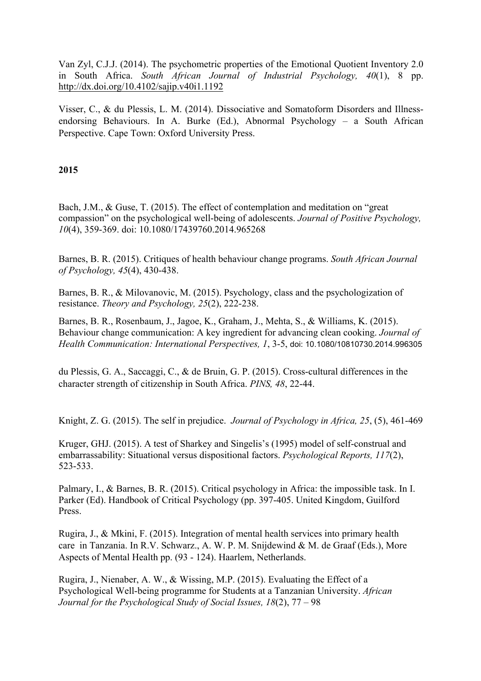Van Zyl, C.J.J. (2014). The psychometric properties of the Emotional Quotient Inventory 2.0 in South Africa. *South African Journal of Industrial Psychology, 40*(1), 8 pp. http://dx.doi.org/10.4102/sajip.v40i1.1192

Visser, C., & du Plessis, L. M. (2014). Dissociative and Somatoform Disorders and Illnessendorsing Behaviours. In A. Burke (Ed.), Abnormal Psychology – a South African Perspective. Cape Town: Oxford University Press.

## **2015**

Bach, J.M., & Guse, T. (2015). The effect of contemplation and meditation on "great compassion" on the psychological well-being of adolescents. *Journal of Positive Psychology, 10*(4), 359-369. doi: 10.1080/17439760.2014.965268

Barnes, B. R. (2015). Critiques of health behaviour change programs. *South African Journal of Psychology, 45*(4), 430-438.

Barnes, B. R., & Milovanovic, M. (2015). Psychology, class and the psychologization of resistance. *Theory and Psychology, 25*(2), 222-238.

Barnes, B. R., Rosenbaum, J., Jagoe, K., Graham, J., Mehta, S., & Williams, K. (2015). Behaviour change communication: A key ingredient for advancing clean cooking. *Journal of Health Communication: International Perspectives, 1*, 3-5, doi: 10.1080/10810730.2014.996305

du Plessis, G. A., Saccaggi, C., & de Bruin, G. P. (2015). Cross-cultural differences in the character strength of citizenship in South Africa. *PINS, 48*, 22-44.

Knight, Z. G. (2015). The self in prejudice. *Journal of Psychology in Africa, 25*, (5), 461-469

Kruger, GHJ. (2015). A test of Sharkey and Singelis's (1995) model of self-construal and embarrassability: Situational versus dispositional factors. *Psychological Reports, 117*(2), 523-533.

Palmary, I., & Barnes, B. R. (2015). Critical psychology in Africa: the impossible task. In I. Parker (Ed). Handbook of Critical Psychology (pp. 397-405. United Kingdom, Guilford Press.

Rugira, J., & Mkini, F. (2015). Integration of mental health services into primary health care in Tanzania. In R.V. Schwarz., A. W. P. M. Snijdewind & M. de Graaf (Eds.), More Aspects of Mental Health pp. (93 - 124). Haarlem, Netherlands.

Rugira, J., Nienaber, A. W., & Wissing, M.P. (2015). Evaluating the Effect of a Psychological Well-being programme for Students at a Tanzanian University. *African Journal for the Psychological Study of Social Issues, 18*(2), 77 – 98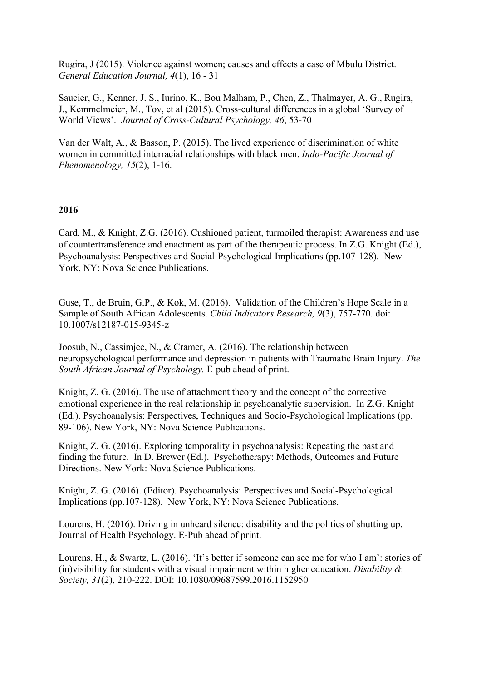Rugira, J (2015). Violence against women; causes and effects a case of Mbulu District. *General Education Journal, 4*(1), 16 - 31

Saucier, G., Kenner, J. S., Iurino, K., Bou Malham, P., Chen, Z., Thalmayer, A. G., Rugira, J., Kemmelmeier, M., Tov, et al (2015). Cross-cultural differences in a global 'Survey of World Views'. *Journal of Cross-Cultural Psychology, 46*, 53-70

Van der Walt, A., & Basson, P. (2015). The lived experience of discrimination of white women in committed interracial relationships with black men. *Indo-Pacific Journal of Phenomenology, 15*(2), 1-16.

## **2016**

Card, M., & Knight, Z.G. (2016). Cushioned patient, turmoiled therapist: Awareness and use of countertransference and enactment as part of the therapeutic process. In Z.G. Knight (Ed.), Psychoanalysis: Perspectives and Social-Psychological Implications (pp.107-128). New York, NY: Nova Science Publications.

Guse, T., de Bruin, G.P., & Kok, M. (2016). Validation of the Children's Hope Scale in a Sample of South African Adolescents. *Child Indicators Research, 9*(3), 757-770. doi: 10.1007/s12187-015-9345-z

Joosub, N., Cassimjee, N., & Cramer, A. (2016). The relationship between neuropsychological performance and depression in patients with Traumatic Brain Injury. *The South African Journal of Psychology.* E-pub ahead of print.

Knight, Z. G. (2016). The use of attachment theory and the concept of the corrective emotional experience in the real relationship in psychoanalytic supervision. In Z.G. Knight (Ed.). Psychoanalysis: Perspectives, Techniques and Socio-Psychological Implications (pp. 89-106). New York, NY: Nova Science Publications.

Knight, Z. G. (2016). Exploring temporality in psychoanalysis: Repeating the past and finding the future. In D. Brewer (Ed.). Psychotherapy: Methods, Outcomes and Future Directions. New York: Nova Science Publications.

Knight, Z. G. (2016). (Editor). Psychoanalysis: Perspectives and Social-Psychological Implications (pp.107-128). New York, NY: Nova Science Publications.

Lourens, H. (2016). Driving in unheard silence: disability and the politics of shutting up. Journal of Health Psychology. E-Pub ahead of print.

Lourens, H., & Swartz, L. (2016). 'It's better if someone can see me for who I am': stories of (in)visibility for students with a visual impairment within higher education. *Disability & Society, 31*(2), 210-222. DOI: 10.1080/09687599.2016.1152950